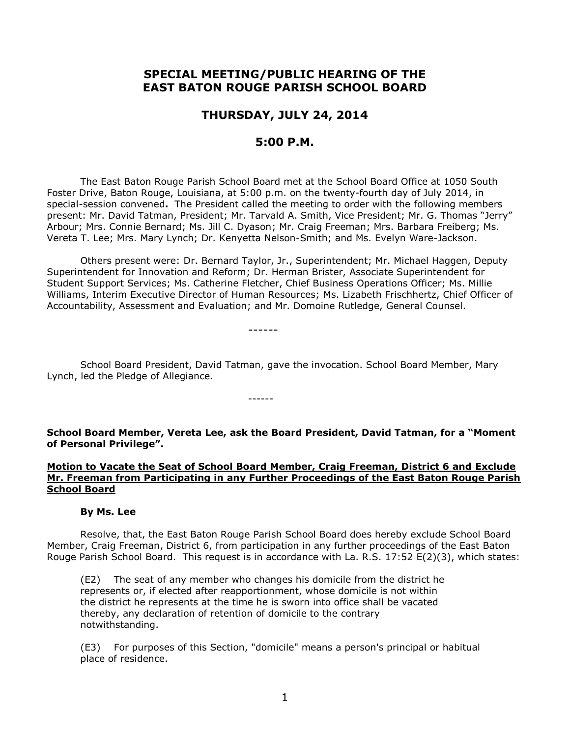# **SPECIAL MEETING/PUBLIC HEARING OF THE EAST BATON ROUGE PARISH SCHOOL BOARD**

# **THURSDAY, JULY 24, 2014**

# **5:00 P.M.**

The East Baton Rouge Parish School Board met at the School Board Office at 1050 South Foster Drive, Baton Rouge, Louisiana, at 5:00 p.m. on the twenty-fourth day of July 2014, in special-session convened**.** The President called the meeting to order with the following members present: Mr. David Tatman, President; Mr. Tarvald A. Smith, Vice President; Mr. G. Thomas "Jerry" Arbour; Mrs. Connie Bernard; Ms. Jill C. Dyason; Mr. Craig Freeman; Mrs. Barbara Freiberg; Ms. Vereta T. Lee; Mrs. Mary Lynch; Dr. Kenyetta Nelson-Smith; and Ms. Evelyn Ware-Jackson.

Others present were: Dr. Bernard Taylor, Jr., Superintendent; Mr. Michael Haggen, Deputy Superintendent for Innovation and Reform; Dr. Herman Brister, Associate Superintendent for Student Support Services; Ms. Catherine Fletcher, Chief Business Operations Officer; Ms. Millie Williams, Interim Executive Director of Human Resources; Ms. Lizabeth Frischhertz, Chief Officer of Accountability, Assessment and Evaluation; and Mr. Domoine Rutledge, General Counsel.

------

------

School Board President, David Tatman, gave the invocation. School Board Member, Mary Lynch, led the Pledge of Allegiance.

**School Board Member, Vereta Lee, ask the Board President, David Tatman, for a "Moment of Personal Privilege".**

## **Motion to Vacate the Seat of School Board Member, Craig Freeman, District 6 and Exclude Mr. Freeman from Participating in any Further Proceedings of the East Baton Rouge Parish School Board**

#### **By Ms. Lee**

Resolve, that, the East Baton Rouge Parish School Board does hereby exclude School Board Member, Craig Freeman, District 6, from participation in any further proceedings of the East Baton Rouge Parish School Board. This request is in accordance with La. R.S. 17:52 E(2)(3), which states:

(E2) The seat of any member who changes his domicile from the district he represents or, if elected after reapportionment, whose domicile is not within the district he represents at the time he is sworn into office shall be vacated thereby, any declaration of retention of domicile to the contrary notwithstanding.

(E3) For purposes of this Section, "domicile" means a person's principal or habitual place of residence.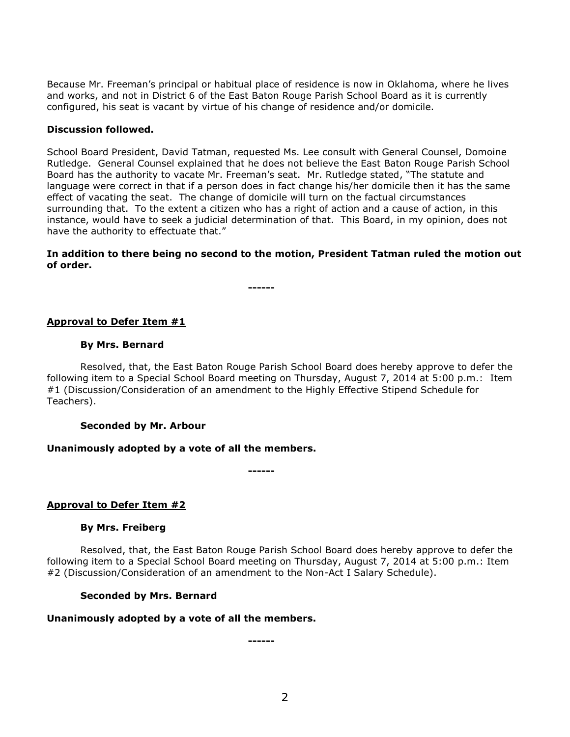Because Mr. Freeman's principal or habitual place of residence is now in Oklahoma, where he lives and works, and not in District 6 of the East Baton Rouge Parish School Board as it is currently configured, his seat is vacant by virtue of his change of residence and/or domicile.

## **Discussion followed.**

School Board President, David Tatman, requested Ms. Lee consult with General Counsel, Domoine Rutledge. General Counsel explained that he does not believe the East Baton Rouge Parish School Board has the authority to vacate Mr. Freeman's seat. Mr. Rutledge stated, "The statute and language were correct in that if a person does in fact change his/her domicile then it has the same effect of vacating the seat. The change of domicile will turn on the factual circumstances surrounding that. To the extent a citizen who has a right of action and a cause of action, in this instance, would have to seek a judicial determination of that. This Board, in my opinion, does not have the authority to effectuate that."

## **In addition to there being no second to the motion, President Tatman ruled the motion out of order.**

**------**

# **Approval to Defer Item #1**

### **By Mrs. Bernard**

Resolved, that, the East Baton Rouge Parish School Board does hereby approve to defer the following item to a Special School Board meeting on Thursday, August 7, 2014 at 5:00 p.m.: Item #1 (Discussion/Consideration of an amendment to the Highly Effective Stipend Schedule for Teachers).

#### **Seconded by Mr. Arbour**

# **Unanimously adopted by a vote of all the members.**

**------**

# **Approval to Defer Item #2**

# **By Mrs. Freiberg**

Resolved, that, the East Baton Rouge Parish School Board does hereby approve to defer the following item to a Special School Board meeting on Thursday, August 7, 2014 at 5:00 p.m.: Item #2 (Discussion/Consideration of an amendment to the Non-Act I Salary Schedule).

# **Seconded by Mrs. Bernard**

#### **Unanimously adopted by a vote of all the members.**

**------**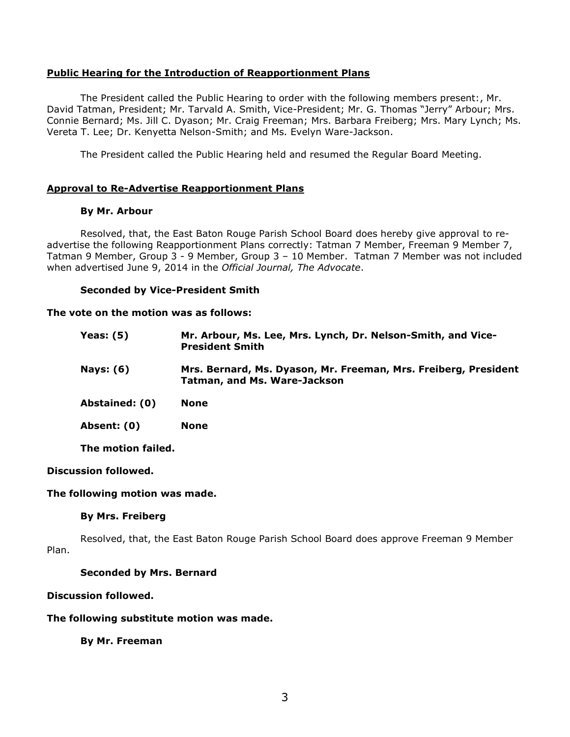## **Public Hearing for the Introduction of Reapportionment Plans**

The President called the Public Hearing to order with the following members present:, Mr. David Tatman, President; Mr. Tarvald A. Smith, Vice-President; Mr. G. Thomas "Jerry" Arbour; Mrs. Connie Bernard; Ms. Jill C. Dyason; Mr. Craig Freeman; Mrs. Barbara Freiberg; Mrs. Mary Lynch; Ms. Vereta T. Lee; Dr. Kenyetta Nelson-Smith; and Ms. Evelyn Ware-Jackson.

The President called the Public Hearing held and resumed the Regular Board Meeting.

### **Approval to Re-Advertise Reapportionment Plans**

#### **By Mr. Arbour**

Resolved, that, the East Baton Rouge Parish School Board does hereby give approval to re-advertise the following Reapportionment Plans correctly: [Tatman 7 Member,](http://www.ebrschools.net/eduWEB1/1000144/docs/06.05.14tatman_7m.pdf) [Freeman 9 Member 7,](http://www.ebrschools.net/eduWEB1/1000144/docs/06.05.14freeman_9_m_7.pdf) [Tatman 9 Member,](http://www.ebrschools.net/eduWEB1/1000144/docs/06.05.14tatman_9m_2.pdf) Group 3 - [9 Member,](http://www.ebrschools.net/eduWEB1/1000144/docs/06.05.14group_3_9m1.pdf) Group 3 – [10 Member.](http://www.ebrschools.net/eduWEB1/1000144/docs/06.05.14group_3_10m.pdf) Tatman 7 Member was not included when advertised June 9, 2014 in the *Official Journal, The Advocate*.

### **Seconded by Vice-President Smith**

#### **The vote on the motion was as follows:**

| <b>Yeas: (5)</b> | Mr. Arbour, Ms. Lee, Mrs. Lynch, Dr. Nelson-Smith, and Vice-<br><b>President Smith</b>                 |
|------------------|--------------------------------------------------------------------------------------------------------|
| Nays: (6)        | Mrs. Bernard, Ms. Dyason, Mr. Freeman, Mrs. Freiberg, President<br><b>Tatman, and Ms. Ware-Jackson</b> |
| Abstained: (0)   | <b>None</b>                                                                                            |
| Absent: (0)      | <b>None</b>                                                                                            |
|                  |                                                                                                        |

**The motion failed.**

#### **Discussion followed.**

#### **The following motion was made.**

#### **By Mrs. Freiberg**

Resolved, that, the East Baton Rouge Parish School Board does approve Freeman 9 Member Plan.

## **Seconded by Mrs. Bernard**

#### **Discussion followed.**

#### **The following substitute motion was made.**

**By Mr. Freeman**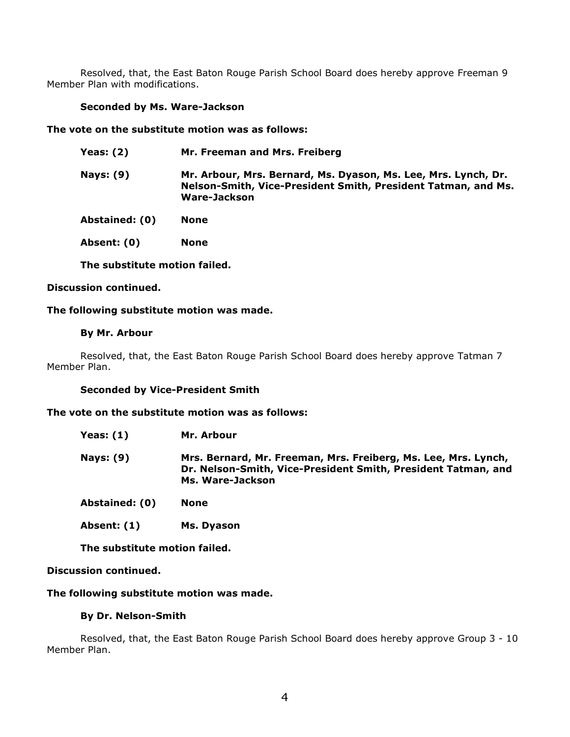Resolved, that, the East Baton Rouge Parish School Board does hereby approve Freeman 9 Member Plan with modifications.

# **Seconded by Ms. Ware-Jackson**

## **The vote on the substitute motion was as follows:**

| <b>Yeas: (2)</b> | Mr. Freeman and Mrs. Freiberg                                                                                                                   |
|------------------|-------------------------------------------------------------------------------------------------------------------------------------------------|
| Nays: (9)        | Mr. Arbour, Mrs. Bernard, Ms. Dyason, Ms. Lee, Mrs. Lynch, Dr.<br>Nelson-Smith, Vice-President Smith, President Tatman, and Ms.<br>Ware-Jackson |
| Abstained: (0)   | None                                                                                                                                            |

**Absent: (0) None**

**The substitute motion failed.**

# **Discussion continued.**

### **The following substitute motion was made.**

### **By Mr. Arbour**

Resolved, that, the East Baton Rouge Parish School Board does hereby approve Tatman 7 Member Plan.

# **Seconded by Vice-President Smith**

# **The vote on the substitute motion was as follows:**

- **Yeas: (1) Mr. Arbour**
- **Nays: (9) Mrs. Bernard, Mr. Freeman, Mrs. Freiberg, Ms. Lee, Mrs. Lynch, Dr. Nelson-Smith, Vice-President Smith, President Tatman, and Ms. Ware-Jackson**
- **Abstained: (0) None**
- **Absent: (1) Ms. Dyason**

**The substitute motion failed.**

### **Discussion continued.**

# **The following substitute motion was made.**

### **By Dr. Nelson-Smith**

Resolved, that, the East Baton Rouge Parish School Board does hereby approve Group 3 - 10 Member Plan.